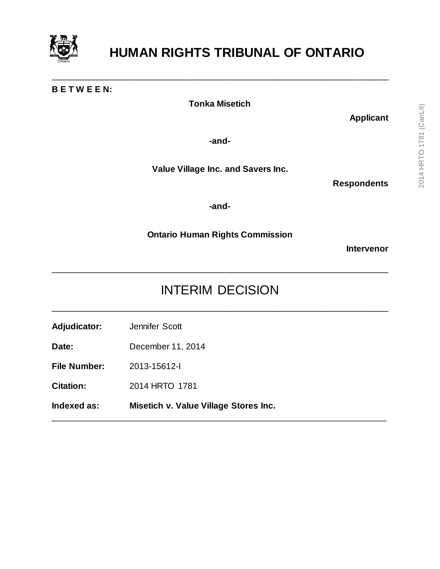

## **B E T W E E N:**

**Tonka Misetich**

\_\_\_\_\_\_\_\_\_\_\_\_\_\_\_\_\_\_\_\_\_\_\_\_\_\_\_\_\_\_\_\_\_\_\_\_\_\_\_\_\_\_\_\_\_\_\_\_\_\_\_\_\_\_\_\_\_\_\_\_\_\_\_\_\_\_\_\_\_\_

**Applicant**

**-and-**

**Value Village Inc. and Savers Inc.**

**Respondents**

**-and-**

**Ontario Human Rights Commission**

**Intervenor**

## INTERIM DECISION

\_\_\_\_\_\_\_\_\_\_\_\_\_\_\_\_\_\_\_\_\_\_\_\_\_\_\_\_\_\_\_\_\_\_\_\_\_\_\_\_\_\_\_\_\_\_\_\_\_\_\_\_\_\_\_\_\_\_\_\_\_\_\_\_\_\_\_\_\_\_

\_\_\_\_\_\_\_\_\_\_\_\_\_\_\_\_\_\_\_\_\_\_\_\_\_\_\_\_\_\_\_\_\_\_\_\_\_\_\_\_\_\_\_\_\_\_\_\_\_\_\_\_\_\_\_\_\_\_\_\_\_\_\_\_\_\_\_\_\_

\_\_\_\_\_\_\_\_\_\_\_\_\_\_\_\_\_\_\_\_\_\_\_\_\_\_\_\_\_\_\_\_\_\_\_\_\_\_\_\_\_\_\_\_\_\_\_\_\_\_\_\_\_\_\_\_\_\_\_\_\_\_\_\_\_\_\_\_\_\_

**Adjudicator:** Jennifer Scott

**Date:** December 11, 2014

**File Number:** 2013-15612-I

**Citation:** 2014 HRTO 1781

**Indexed as: Misetich v. Value Village Stores Inc.**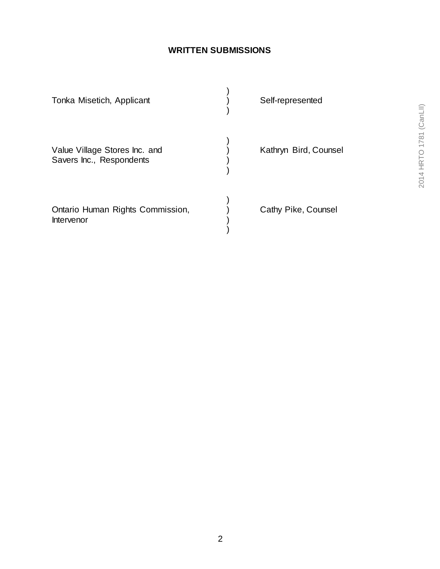## **WRITTEN SUBMISSIONS**

| Tonka Misetich, Applicant                                 | Self-represented      |
|-----------------------------------------------------------|-----------------------|
| Value Village Stores Inc. and<br>Savers Inc., Respondents | Kathryn Bird, Counsel |
| Ontario Human Rights Commission,<br>Intervenor            | Cathy Pike, Counsel   |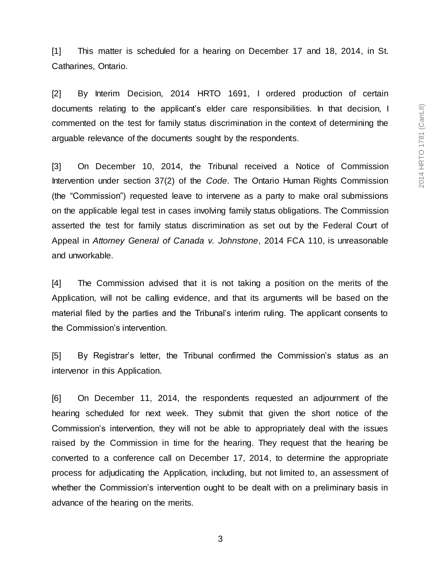[1] This matter is scheduled for a hearing on December 17 and 18, 2014, in St. Catharines, Ontario.

[2] By Interim Decision, 2014 HRTO 1691, I ordered production of certain documents relating to the applicant's elder care responsibilities. In that decision, I commented on the test for family status discrimination in the context of determining the arguable relevance of the documents sought by the respondents.

[3] On December 10, 2014, the Tribunal received a Notice of Commission Intervention under section 37(2) of the *Code*. The Ontario Human Rights Commission (the "Commission") requested leave to intervene as a party to make oral submissions on the applicable legal test in cases involving family status obligations. The Commission asserted the test for family status discrimination as set out by the Federal Court of Appeal in *Attorney General of Canada v. Johnstone*, 2014 FCA 110, is unreasonable and unworkable.

[4] The Commission advised that it is not taking a position on the merits of the Application, will not be calling evidence, and that its arguments will be based on the material filed by the parties and the Tribunal's interim ruling. The applicant consents to the Commission's intervention.

[5] By Registrar's letter, the Tribunal confirmed the Commission's status as an intervenor in this Application.

[6] On December 11, 2014, the respondents requested an adjournment of the hearing scheduled for next week. They submit that given the short notice of the Commission's intervention, they will not be able to appropriately deal with the issues raised by the Commission in time for the hearing. They request that the hearing be converted to a conference call on December 17, 2014, to determine the appropriate process for adjudicating the Application, including, but not limited to, an assessment of whether the Commission's intervention ought to be dealt with on a preliminary basis in advance of the hearing on the merits.

3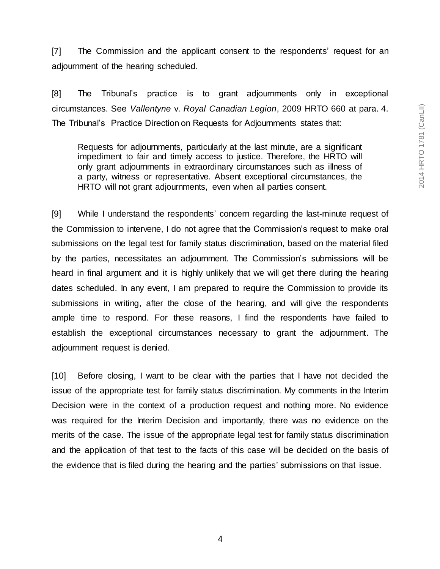[7] The Commission and the applicant consent to the respondents' request for an adjournment of the hearing scheduled.

[8] The Tribunal's practice is to grant adjournments only in exceptional circumstances. See *Vallentyne* v. *Royal Canadian Legion*, 2009 HRTO 660 at para. 4. The Tribunal's Practice Direction on Requests for Adjournments states that:

Requests for adjournments, particularly at the last minute, are a significant impediment to fair and timely access to justice. Therefore, the HRTO will only grant adjournments in extraordinary circumstances such as illness of a party, witness or representative. Absent exceptional circumstances, the HRTO will not grant adjournments, even when all parties consent.

[9] While I understand the respondents' concern regarding the last-minute request of the Commission to intervene, I do not agree that the Commission's request to make oral submissions on the legal test for family status discrimination, based on the material filed by the parties, necessitates an adjournment. The Commission's submissions will be heard in final argument and it is highly unlikely that we will get there during the hearing dates scheduled. In any event, I am prepared to require the Commission to provide its submissions in writing, after the close of the hearing, and will give the respondents ample time to respond. For these reasons, I find the respondents have failed to establish the exceptional circumstances necessary to grant the adjournment. The adjournment request is denied.

[10] Before closing, I want to be clear with the parties that I have not decided the issue of the appropriate test for family status discrimination. My comments in the Interim Decision were in the context of a production request and nothing more. No evidence was required for the Interim Decision and importantly, there was no evidence on the merits of the case. The issue of the appropriate legal test for family status discrimination and the application of that test to the facts of this case will be decided on the basis of the evidence that is filed during the hearing and the parties' submissions on that issue.